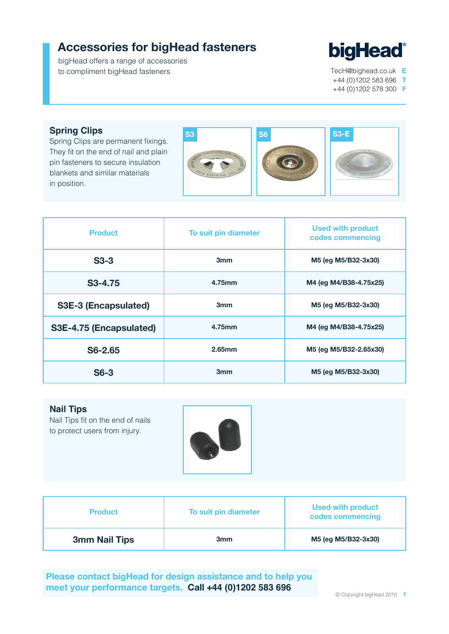## **Accessories for bigHead fasteners**

bigHead offers a range of accessories to compliment bigHead fasteners



TecH@bighead.co.uk **E** +44 (0)1202 583 696 **T** +44 (0)1202 578 300 **F**

**Spring Clips**

Spring Clips are permanent fixings. They fit on the end of nail and plain pin fasteners to secure insulation blankets and similar materials in position.



| <b>Product</b>              | To suit pin diameter | <b>Used with product</b><br>codes commencing |  |
|-----------------------------|----------------------|----------------------------------------------|--|
| $S3-3$                      | 3 <sub>mm</sub>      | M5 (eg M5/B32-3x30)                          |  |
| S <sub>3</sub> -4.75        | 4.75mm               | M4 (eg M4/B38-4.75x25)                       |  |
| <b>S3E-3 (Encapsulated)</b> | 3 <sub>mm</sub>      | M5 (eg M5/B32-3x30)                          |  |
| S3E-4.75 (Encapsulated)     | 4.75mm               | M4 (eg M4/B38-4.75x25)                       |  |
| S6-2.65                     | 2.65mm               | M5 (eg M5/B32-2.65x30)                       |  |
| $S6-3$                      | 3 <sub>mm</sub>      | M5 (eq M5/B32-3x30)                          |  |

**Nail Tips**

Nail Tips fit on the end of nails to protect users from injury.



| <b>Product</b>       | To suit pin diameter | <b>Used with product</b><br>codes commencing |
|----------------------|----------------------|----------------------------------------------|
| <b>3mm Nail Tips</b> | 3 <sub>mm</sub>      | M5 (eg M5/B32-3x30)                          |

**Please contact bigHead for design assistance and to help you meet your performance targets. Call +44 (0)1202 583 696**